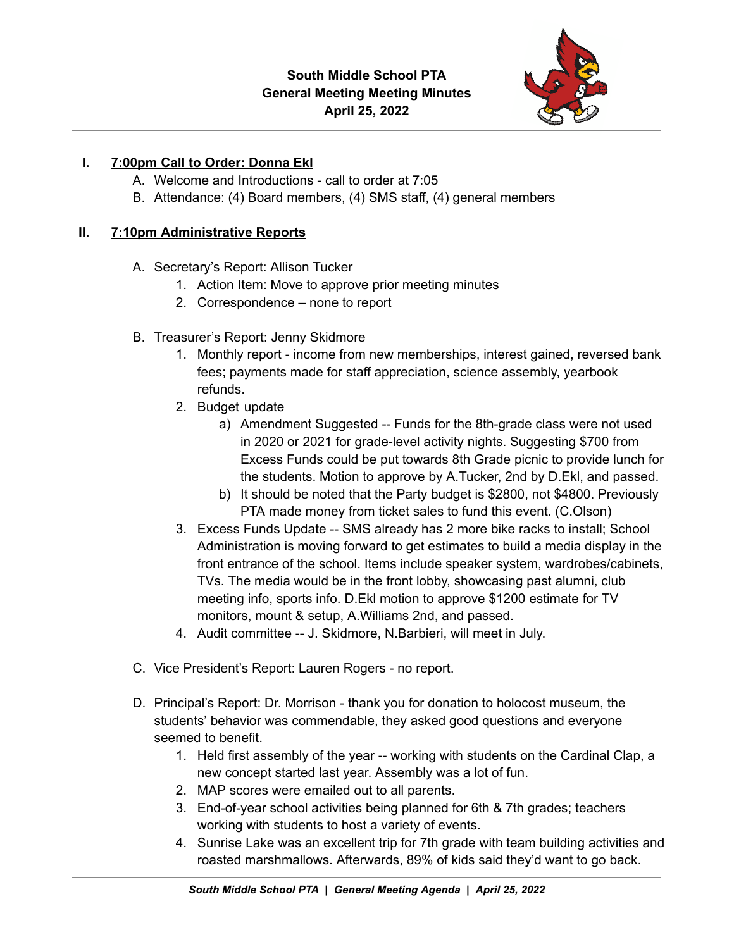

## **I. 7:00pm Call to Order: Donna Ekl**

- A. Welcome and Introductions call to order at 7:05
- B. Attendance: (4) Board members, (4) SMS staff, (4) general members

## **II. 7:10pm Administrative Reports**

- A. Secretary's Report: Allison Tucker
	- 1. Action Item: Move to approve prior meeting minutes
	- 2. Correspondence none to report
- B. Treasurer's Report: Jenny Skidmore
	- 1. Monthly report income from new memberships, interest gained, reversed bank fees; payments made for staff appreciation, science assembly, yearbook refunds.
	- 2. Budget update
		- a) Amendment Suggested -- Funds for the 8th-grade class were not used in 2020 or 2021 for grade-level activity nights. Suggesting \$700 from Excess Funds could be put towards 8th Grade picnic to provide lunch for the students. Motion to approve by A.Tucker, 2nd by D.Ekl, and passed.
		- b) It should be noted that the Party budget is \$2800, not \$4800. Previously PTA made money from ticket sales to fund this event. (C.Olson)
	- 3. Excess Funds Update -- SMS already has 2 more bike racks to install; School Administration is moving forward to get estimates to build a media display in the front entrance of the school. Items include speaker system, wardrobes/cabinets, TVs. The media would be in the front lobby, showcasing past alumni, club meeting info, sports info. D.Ekl motion to approve \$1200 estimate for TV monitors, mount & setup, A.Williams 2nd, and passed.
	- 4. Audit committee -- J. Skidmore, N.Barbieri, will meet in July.
- C. Vice President's Report: Lauren Rogers no report.
- D. Principal's Report: Dr. Morrison thank you for donation to holocost museum, the students' behavior was commendable, they asked good questions and everyone seemed to benefit.
	- 1. Held first assembly of the year -- working with students on the Cardinal Clap, a new concept started last year. Assembly was a lot of fun.
	- 2. MAP scores were emailed out to all parents.
	- 3. End-of-year school activities being planned for 6th & 7th grades; teachers working with students to host a variety of events.
	- 4. Sunrise Lake was an excellent trip for 7th grade with team building activities and roasted marshmallows. Afterwards, 89% of kids said they'd want to go back.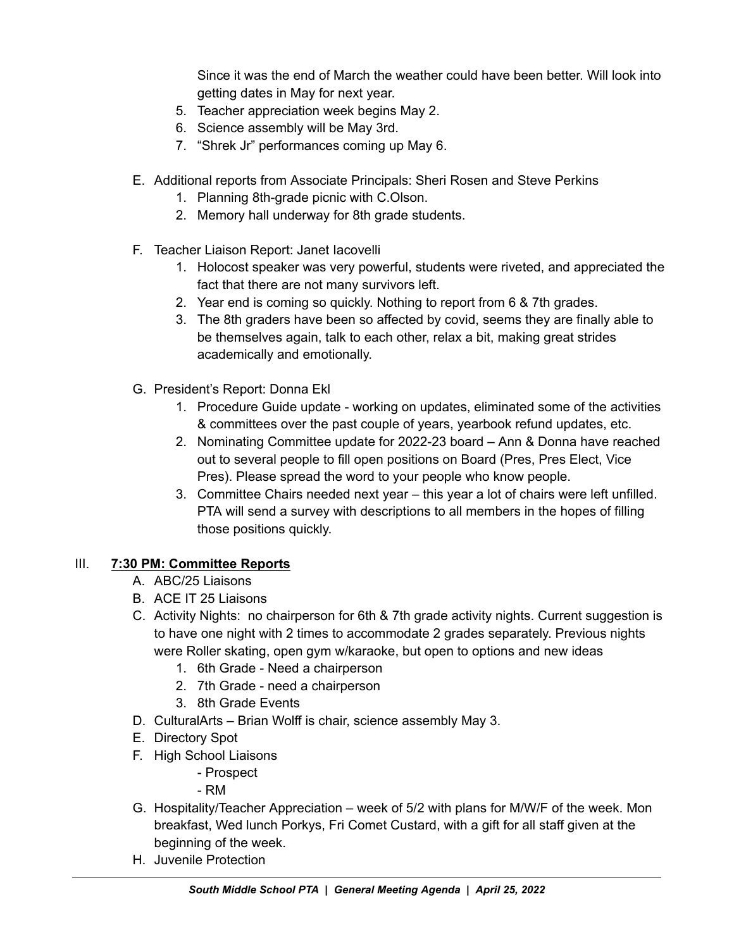Since it was the end of March the weather could have been better. Will look into getting dates in May for next year.

- 5. Teacher appreciation week begins May 2.
- 6. Science assembly will be May 3rd.
- 7. "Shrek Jr" performances coming up May 6.
- E. Additional reports from Associate Principals: Sheri Rosen and Steve Perkins
	- 1. Planning 8th-grade picnic with C.Olson.
	- 2. Memory hall underway for 8th grade students.
- F. Teacher Liaison Report: Janet Iacovelli
	- 1. Holocost speaker was very powerful, students were riveted, and appreciated the fact that there are not many survivors left.
	- 2. Year end is coming so quickly. Nothing to report from 6 & 7th grades.
	- 3. The 8th graders have been so affected by covid, seems they are finally able to be themselves again, talk to each other, relax a bit, making great strides academically and emotionally.
- G. President's Report: Donna Ekl
	- 1. Procedure Guide update working on updates, eliminated some of the activities & committees over the past couple of years, yearbook refund updates, etc.
	- 2. Nominating Committee update for 2022-23 board Ann & Donna have reached out to several people to fill open positions on Board (Pres, Pres Elect, Vice Pres). Please spread the word to your people who know people.
	- 3. Committee Chairs needed next year this year a lot of chairs were left unfilled. PTA will send a survey with descriptions to all members in the hopes of filling those positions quickly.

# III. **7:30 PM: Committee Reports**

- A. ABC/25 Liaisons
- B. ACE IT 25 Liaisons
- C. Activity Nights: no chairperson for 6th & 7th grade activity nights. Current suggestion is to have one night with 2 times to accommodate 2 grades separately. Previous nights were Roller skating, open gym w/karaoke, but open to options and new ideas
	- 1. 6th Grade Need a chairperson
	- 2. 7th Grade need a chairperson
	- 3. 8th Grade Events
- D. CulturalArts Brian Wolff is chair, science assembly May 3.
- E. Directory Spot
- F. High School Liaisons
	- Prospect

- RM

- G. Hospitality/Teacher Appreciation week of 5/2 with plans for M/W/F of the week. Mon breakfast, Wed lunch Porkys, Fri Comet Custard, with a gift for all staff given at the beginning of the week.
- H. Juvenile Protection